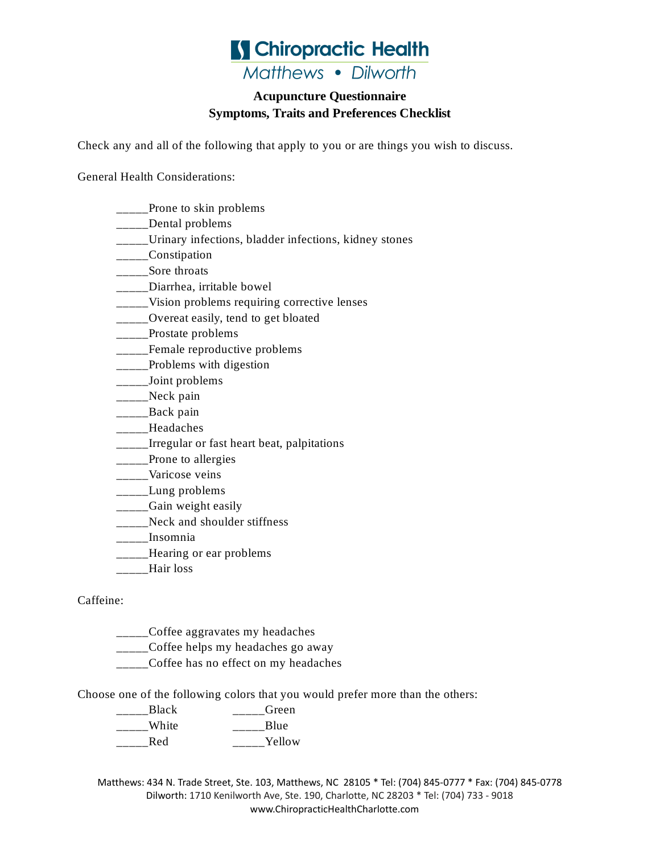

#### **Acupuncture Questionnaire Symptoms, Traits and Preferences Checklist**

Check any and all of the following that apply to you or are things you wish to discuss.

General Health Considerations:

- \_\_\_\_Prone to skin problems
- \_\_\_\_\_Dental problems
- \_\_\_\_\_Urinary infections, bladder infections, kidney stones
- \_\_\_\_\_Constipation
- \_\_\_\_\_Sore throats
- \_\_\_\_\_Diarrhea, irritable bowel
- \_\_\_\_\_Vision problems requiring corrective lenses
- \_\_\_\_\_Overeat easily, tend to get bloated
- \_\_\_\_\_Prostate problems
- \_\_\_\_\_Female reproductive problems
- \_\_\_\_Problems with digestion
- \_\_\_\_\_Joint problems
- \_\_\_\_\_Neck pain
- \_\_\_\_\_\_Back pain
- \_\_\_\_\_Headaches
- \_\_\_\_\_Irregular or fast heart beat, palpitations
- \_\_\_\_Prone to allergies
- \_\_\_\_\_Varicose veins
- \_\_\_\_\_Lung problems
- \_\_\_\_\_Gain weight easily
- \_\_\_\_\_Neck and shoulder stiffness
- \_\_\_\_\_Insomnia
- \_\_\_\_Hearing or ear problems
- \_\_\_\_\_Hair loss

#### Caffeine:

- \_\_\_\_\_Coffee aggravates my headaches
- \_\_\_\_\_Coffee helps my headaches go away
- \_\_\_\_\_Coffee has no effect on my headaches

Choose one of the following colors that you would prefer more than the others:

- \_\_\_\_\_Black \_\_\_\_\_Green \_\_\_\_\_White \_\_\_\_\_\_\_\_Blue
- \_\_\_\_\_\_Red \_\_\_\_\_\_\_\_Yellow

Matthews: 434 N. Trade Street, Ste. 103, Matthews, NC 28105 \* Tel: (704) 845-0777 \* Fax: (704) 845-0778 Dilworth: 1710 Kenilworth Ave, Ste. 190, Charlotte, NC 28203 \* Tel: (704) 733 - 9018 www.ChiropracticHealthCharlotte.com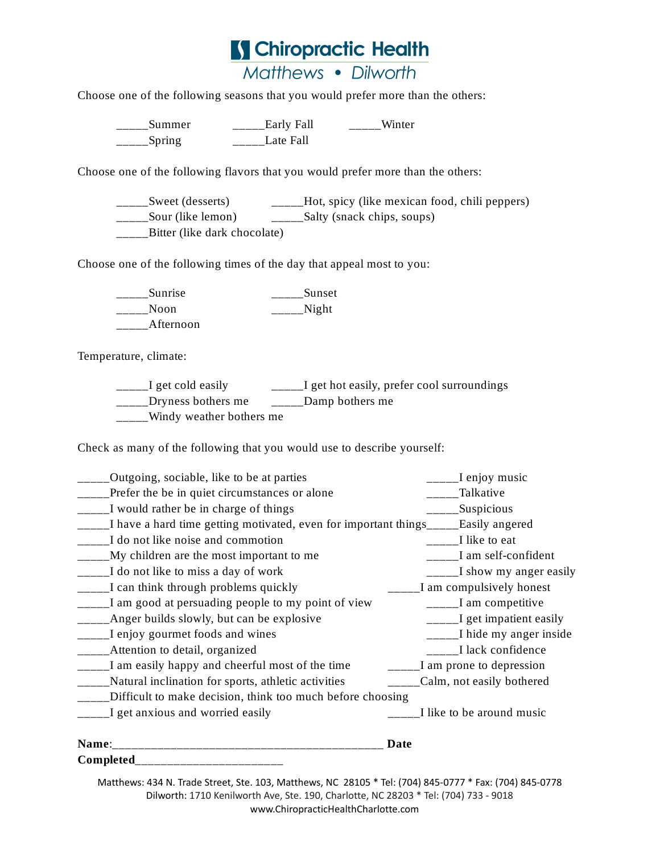

Choose one of the following seasons that you would prefer more than the others:

\_\_\_\_\_Summer \_\_\_\_\_Early Fall \_\_\_\_\_Winter \_\_\_\_\_Spring \_\_\_\_\_Late Fall

Choose one of the following flavors that you would prefer more than the others:

\_\_\_\_\_Sweet (desserts) \_\_\_\_\_\_\_Hot, spicy (like mexican food, chili peppers) \_\_\_\_\_Sour (like lemon) \_\_\_\_\_Salty (snack chips, soups) Bitter (like dark chocolate)

Choose one of the following times of the day that appeal most to you:

| <b>Sunrise</b> | Sunset |
|----------------|--------|
| Noon.          | Night  |
| Afternoon      |        |

Temperature, climate:

\_\_\_\_\_I get cold easily \_\_\_\_\_\_\_\_I get hot easily, prefer cool surroundings \_\_\_\_\_Dryness bothers me \_\_\_\_\_\_Damp bothers me \_\_\_\_\_Windy weather bothers me

Check as many of the following that you would use to describe yourself:

| Outgoing, sociable, like to be at parties                       | I enjoy music             |
|-----------------------------------------------------------------|---------------------------|
| Prefer the be in quiet circumstances or alone                   | Talkative                 |
| I would rather be in charge of things                           | Suspicious                |
| I have a hard time getting motivated, even for important things | Easily angered            |
| I do not like noise and commotion                               | I like to eat             |
| My children are the most important to me                        | I am self-confident       |
| I do not like to miss a day of work                             | I show my anger easily    |
| I can think through problems quickly                            | I am compulsively honest  |
| I am good at persuading people to my point of view              | I am competitive          |
| Anger builds slowly, but can be explosive                       | I get impatient easily    |
| I enjoy gourmet foods and wines                                 | I hide my anger inside    |
| Attention to detail, organized                                  | I lack confidence         |
| I am easily happy and cheerful most of the time                 | I am prone to depression  |
| Natural inclination for sports, athletic activities             | Calm, not easily bothered |
| Difficult to make decision, think too much before choosing      |                           |
| I get anxious and worried easily                                | I like to be around music |
| Name:                                                           | Date                      |

Completed\_\_\_\_\_

Matthews: 434 N. Trade Street, Ste. 103, Matthews, NC 28105 \* Tel: (704) 845-0777 \* Fax: (704) 845-0778 Dilworth: 1710 Kenilworth Ave, Ste. 190, Charlotte, NC 28203 \* Tel: (704) 733 - 9018 www.ChiropracticHealthCharlotte.com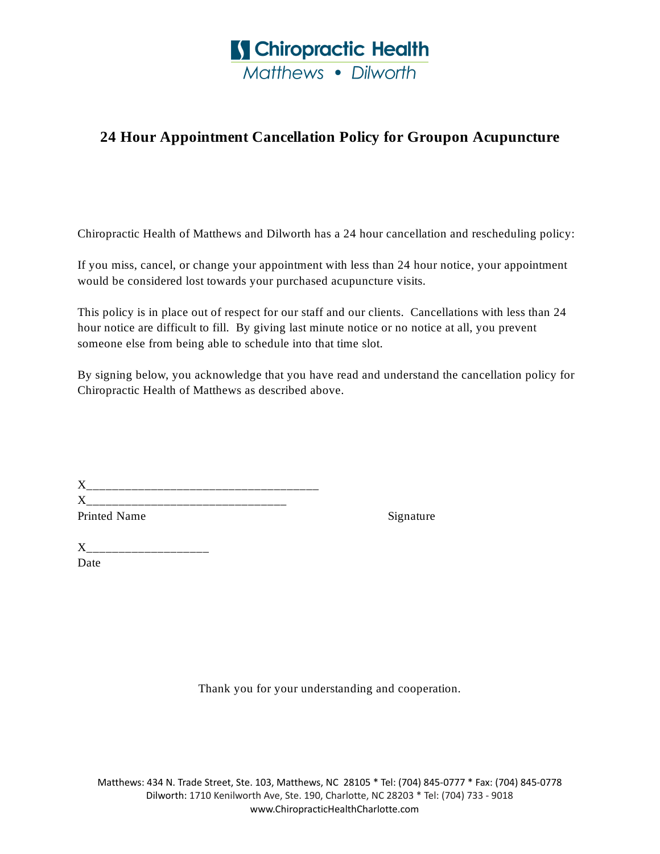

### **24 Hour Appointment Cancellation Policy for Groupon Acupuncture**

Chiropractic Health of Matthews and Dilworth has a 24 hour cancellation and rescheduling policy:

If you miss, cancel, or change your appointment with less than 24 hour notice, your appointment would be considered lost towards your purchased acupuncture visits.

This policy is in place out of respect for our staff and our clients. Cancellations with less than 24 hour notice are difficult to fill. By giving last minute notice or no notice at all, you prevent someone else from being able to schedule into that time slot.

By signing below, you acknowledge that you have read and understand the cancellation policy for Chiropractic Health of Matthews as described above.

| X            |  |  |
|--------------|--|--|
| X            |  |  |
| Printed Name |  |  |

Signature

 $X_{--}$ Date

Thank you for your understanding and cooperation.